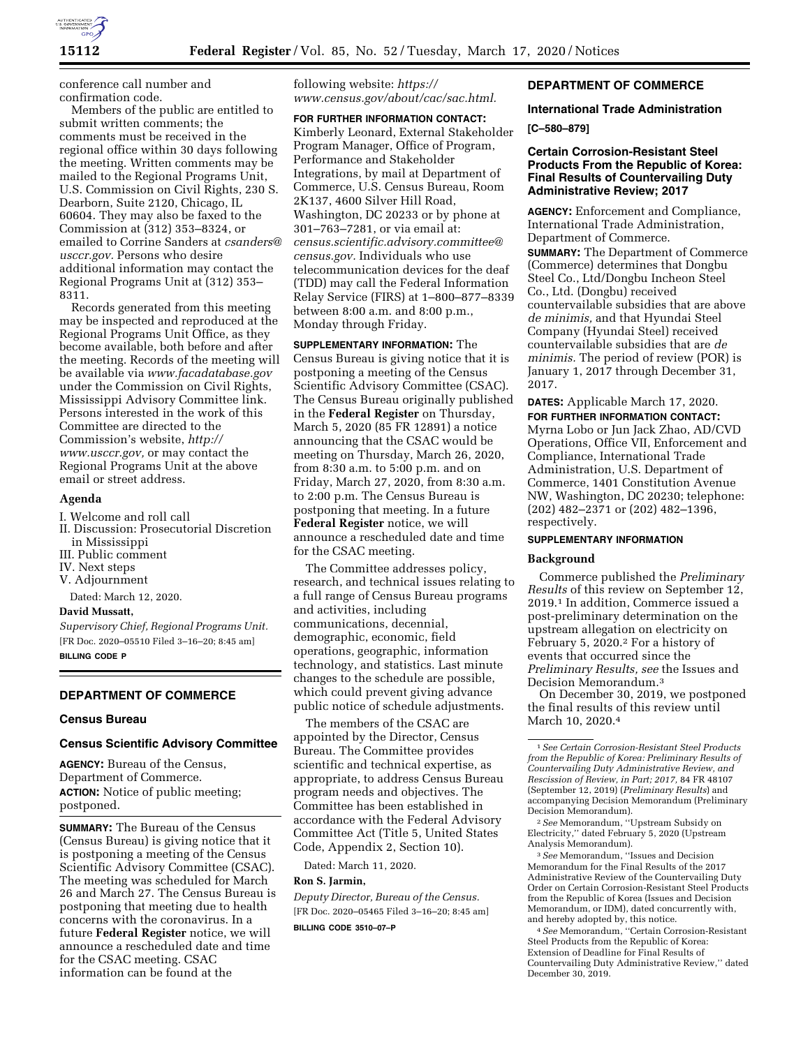

conference call number and confirmation code.

Members of the public are entitled to submit written comments; the comments must be received in the regional office within 30 days following the meeting. Written comments may be mailed to the Regional Programs Unit, U.S. Commission on Civil Rights, 230 S. Dearborn, Suite 2120, Chicago, IL 60604. They may also be faxed to the Commission at (312) 353–8324, or emailed to Corrine Sanders at *[csanders@](mailto:csanders@usccr.gov) [usccr.gov.](mailto:csanders@usccr.gov)* Persons who desire additional information may contact the Regional Programs Unit at (312) 353– 8311.

Records generated from this meeting may be inspected and reproduced at the Regional Programs Unit Office, as they become available, both before and after the meeting. Records of the meeting will be available via *[www.facadatabase.gov](http://www.facadatabase.gov)*  under the Commission on Civil Rights, Mississippi Advisory Committee link. Persons interested in the work of this Committee are directed to the Commission's website, *[http://](http://www.usccr.gov) [www.usccr.gov,](http://www.usccr.gov)* or may contact the Regional Programs Unit at the above email or street address.

## **Agenda**

I. Welcome and roll call

- II. Discussion: Prosecutorial Discretion in Mississippi
- III. Public comment
- IV. Next steps
- V. Adjournment

Dated: March 12, 2020.

## **David Mussatt,**

*Supervisory Chief, Regional Programs Unit.*  [FR Doc. 2020–05510 Filed 3–16–20; 8:45 am] **BILLING CODE P** 

## **DEPARTMENT OF COMMERCE**

#### **Census Bureau**

## **Census Scientific Advisory Committee**

**AGENCY:** Bureau of the Census, Department of Commerce. **ACTION:** Notice of public meeting; postponed.

**SUMMARY:** The Bureau of the Census (Census Bureau) is giving notice that it is postponing a meeting of the Census Scientific Advisory Committee (CSAC). The meeting was scheduled for March 26 and March 27. The Census Bureau is postponing that meeting due to health concerns with the coronavirus. In a future **Federal Register** notice, we will announce a rescheduled date and time for the CSAC meeting. CSAC information can be found at the

following website: *[https://](https://www.census.gov/about/cac/sac.html) [www.census.gov/about/cac/sac.html.](https://www.census.gov/about/cac/sac.html)* 

## **FOR FURTHER INFORMATION CONTACT:**

Kimberly Leonard, External Stakeholder Program Manager, Office of Program, Performance and Stakeholder Integrations, by mail at Department of Commerce, U.S. Census Bureau, Room 2K137, 4600 Silver Hill Road, Washington, DC 20233 or by phone at 301–763–7281, or via email at: *[census.scientific.advisory.committee@](mailto:census.scientific.advisory.committee@census.gov) [census.gov.](mailto:census.scientific.advisory.committee@census.gov)* Individuals who use telecommunication devices for the deaf (TDD) may call the Federal Information Relay Service (FIRS) at 1–800–877–8339 between 8:00 a.m. and 8:00 p.m., Monday through Friday.

**SUPPLEMENTARY INFORMATION:** The Census Bureau is giving notice that it is postponing a meeting of the Census Scientific Advisory Committee (CSAC). The Census Bureau originally published in the **Federal Register** on Thursday, March 5, 2020 (85 FR 12891) a notice announcing that the CSAC would be meeting on Thursday, March 26, 2020, from 8:30 a.m. to 5:00 p.m. and on Friday, March 27, 2020, from 8:30 a.m. to 2:00 p.m. The Census Bureau is postponing that meeting. In a future **Federal Register** notice, we will announce a rescheduled date and time for the CSAC meeting.

The Committee addresses policy, research, and technical issues relating to a full range of Census Bureau programs and activities, including communications, decennial, demographic, economic, field operations, geographic, information technology, and statistics. Last minute changes to the schedule are possible, which could prevent giving advance public notice of schedule adjustments.

The members of the CSAC are appointed by the Director, Census Bureau. The Committee provides scientific and technical expertise, as appropriate, to address Census Bureau program needs and objectives. The Committee has been established in accordance with the Federal Advisory Committee Act (Title 5, United States Code, Appendix 2, Section 10).

Dated: March 11, 2020.

#### **Ron S. Jarmin,**

*Deputy Director, Bureau of the Census.*  [FR Doc. 2020–05465 Filed 3–16–20; 8:45 am] **BILLING CODE 3510–07–P** 

## **DEPARTMENT OF COMMERCE**

## **International Trade Administration**

#### **[C–580–879]**

## **Certain Corrosion-Resistant Steel Products From the Republic of Korea: Final Results of Countervailing Duty Administrative Review; 2017**

**AGENCY:** Enforcement and Compliance, International Trade Administration, Department of Commerce. **SUMMARY:** The Department of Commerce (Commerce) determines that Dongbu Steel Co., Ltd/Dongbu Incheon Steel Co., Ltd. (Dongbu) received countervailable subsidies that are above *de minimis,* and that Hyundai Steel Company (Hyundai Steel) received countervailable subsidies that are *de minimis.* The period of review (POR) is January 1, 2017 through December 31, 2017.

#### **DATES:** Applicable March 17, 2020. **FOR FURTHER INFORMATION CONTACT:**

Myrna Lobo or Jun Jack Zhao, AD/CVD Operations, Office VII, Enforcement and Compliance, International Trade Administration, U.S. Department of Commerce, 1401 Constitution Avenue NW, Washington, DC 20230; telephone: (202) 482–2371 or (202) 482–1396, respectively.

# **SUPPLEMENTARY INFORMATION**

#### **Background**

Commerce published the *Preliminary Results* of this review on September 12, 2019.1 In addition, Commerce issued a post-preliminary determination on the upstream allegation on electricity on February 5, 2020.2 For a history of events that occurred since the *Preliminary Results, see* the Issues and Decision Memorandum.3

On December 30, 2019, we postponed the final results of this review until March 10, 2020.<sup>4</sup>

2*See* Memorandum, ''Upstream Subsidy on Electricity,'' dated February 5, 2020 (Upstream Analysis Memorandum).

3*See* Memorandum, ''Issues and Decision Memorandum for the Final Results of the 2017 Administrative Review of the Countervailing Duty Order on Certain Corrosion-Resistant Steel Products from the Republic of Korea (Issues and Decision Memorandum, or IDM), dated concurrently with, and hereby adopted by, this notice.

4*See* Memorandum, ''Certain Corrosion-Resistant Steel Products from the Republic of Korea: Extension of Deadline for Final Results of Countervailing Duty Administrative Review,'' dated December 30, 2019.

<sup>1</sup>*See Certain Corrosion-Resistant Steel Products from the Republic of Korea: Preliminary Results of Countervailing Duty Administrative Review, and Rescission of Review, in Part; 2017,* 84 FR 48107 (September 12, 2019) (*Preliminary Results*) and accompanying Decision Memorandum (Preliminary Decision Memorandum).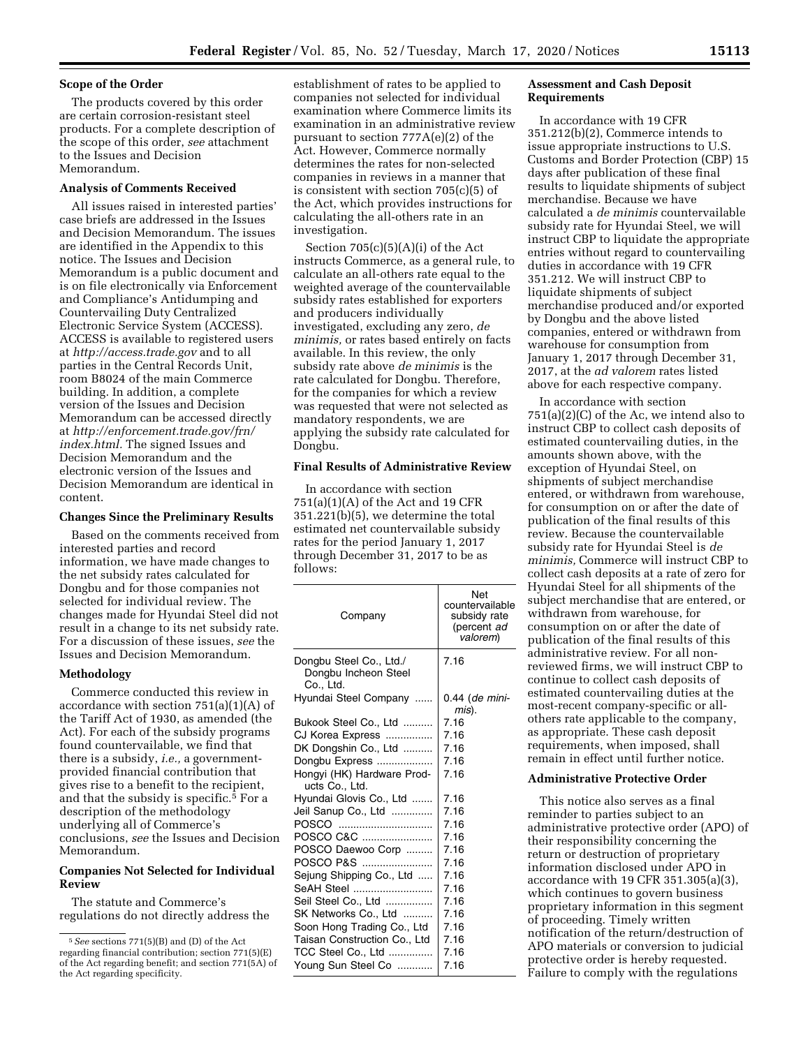#### **Scope of the Order**

The products covered by this order are certain corrosion-resistant steel products. For a complete description of the scope of this order, *see* attachment to the Issues and Decision Memorandum.

### **Analysis of Comments Received**

All issues raised in interested parties' case briefs are addressed in the Issues and Decision Memorandum. The issues are identified in the Appendix to this notice. The Issues and Decision Memorandum is a public document and is on file electronically via Enforcement and Compliance's Antidumping and Countervailing Duty Centralized Electronic Service System (ACCESS). ACCESS is available to registered users at *<http://access.trade.gov>*and to all parties in the Central Records Unit, room B8024 of the main Commerce building. In addition, a complete version of the Issues and Decision Memorandum can be accessed directly at *[http://enforcement.trade.gov/frn/](http://enforcement.trade.gov/frn/index.html)  [index.html.](http://enforcement.trade.gov/frn/index.html)* The signed Issues and Decision Memorandum and the electronic version of the Issues and Decision Memorandum are identical in content.

#### **Changes Since the Preliminary Results**

Based on the comments received from interested parties and record information, we have made changes to the net subsidy rates calculated for Dongbu and for those companies not selected for individual review. The changes made for Hyundai Steel did not result in a change to its net subsidy rate. For a discussion of these issues, *see* the Issues and Decision Memorandum.

#### **Methodology**

Commerce conducted this review in accordance with section  $751(a)(1)(A)$  of the Tariff Act of 1930, as amended (the Act). For each of the subsidy programs found countervailable, we find that there is a subsidy, *i.e.,* a governmentprovided financial contribution that gives rise to a benefit to the recipient, and that the subsidy is specific.5 For a description of the methodology underlying all of Commerce's conclusions, *see* the Issues and Decision Memorandum.

## **Companies Not Selected for Individual Review**

The statute and Commerce's regulations do not directly address the

establishment of rates to be applied to companies not selected for individual examination where Commerce limits its examination in an administrative review pursuant to section 777A(e)(2) of the Act. However, Commerce normally determines the rates for non-selected companies in reviews in a manner that is consistent with section 705(c)(5) of the Act, which provides instructions for calculating the all-others rate in an investigation.

Section  $705(c)(5)(A)(i)$  of the Act instructs Commerce, as a general rule, to calculate an all-others rate equal to the weighted average of the countervailable subsidy rates established for exporters and producers individually investigated, excluding any zero, *de minimis,* or rates based entirely on facts available. In this review, the only subsidy rate above *de minimis* is the rate calculated for Dongbu. Therefore, for the companies for which a review was requested that were not selected as mandatory respondents, we are applying the subsidy rate calculated for Dongbu.

#### **Final Results of Administrative Review**

In accordance with section 751(a)(1)(A) of the Act and 19 CFR 351.221(b)(5), we determine the total estimated net countervailable subsidy rates for the period January 1, 2017 through December 31, 2017 to be as follows:

| Company                                                      | Net<br>countervailable<br>subsidy rate<br>(percent ad<br>valorem) |
|--------------------------------------------------------------|-------------------------------------------------------------------|
| Dongbu Steel Co., Ltd./<br>Dongbu Incheon Steel<br>Co., Ltd. | 7.16                                                              |
| Hyundai Steel Company                                        | 0.44 (de mini-<br>mis).                                           |
| Bukook Steel Co., Ltd                                        | 7.16                                                              |
| CJ Korea Express                                             | 7.16                                                              |
| DK Dongshin Co., Ltd                                         | 7.16                                                              |
| Dongbu Express                                               | 7.16                                                              |
| Hongyi (HK) Hardware Prod-<br>ucts Co., Ltd.                 | 7.16                                                              |
| Hyundai Glovis Co., Ltd                                      | 7.16                                                              |
| Jeil Sanup Co., Ltd                                          | 7.16                                                              |
| POSCO                                                        | 7.16                                                              |
| POSCO C&C                                                    | 7.16                                                              |
| POSCO Daewoo Corp                                            | 7.16                                                              |
| POSCO P&S                                                    | 7.16                                                              |
| Sejung Shipping Co., Ltd                                     | 7.16                                                              |
| SeAH Steel                                                   | 7.16                                                              |
| Seil Steel Co., Ltd                                          | 7.16                                                              |
| SK Networks Co., Ltd                                         | 7.16                                                              |
| Soon Hong Trading Co., Ltd                                   | 7.16                                                              |
| Taisan Construction Co., Ltd                                 | 7.16                                                              |
| TCC Steel Co., Ltd                                           | 7.16                                                              |
| Young Sun Steel Co                                           | 7.16                                                              |

#### **Assessment and Cash Deposit Requirements**

In accordance with 19 CFR 351.212(b)(2), Commerce intends to issue appropriate instructions to U.S. Customs and Border Protection (CBP) 15 days after publication of these final results to liquidate shipments of subject merchandise. Because we have calculated a *de minimis* countervailable subsidy rate for Hyundai Steel, we will instruct CBP to liquidate the appropriate entries without regard to countervailing duties in accordance with 19 CFR 351.212. We will instruct CBP to liquidate shipments of subject merchandise produced and/or exported by Dongbu and the above listed companies, entered or withdrawn from warehouse for consumption from January 1, 2017 through December 31, 2017, at the *ad valorem* rates listed above for each respective company.

In accordance with section  $751(a)(2)(C)$  of the Ac, we intend also to instruct CBP to collect cash deposits of estimated countervailing duties, in the amounts shown above, with the exception of Hyundai Steel, on shipments of subject merchandise entered, or withdrawn from warehouse, for consumption on or after the date of publication of the final results of this review. Because the countervailable subsidy rate for Hyundai Steel is *de minimis,* Commerce will instruct CBP to collect cash deposits at a rate of zero for Hyundai Steel for all shipments of the subject merchandise that are entered, or withdrawn from warehouse, for consumption on or after the date of publication of the final results of this administrative review. For all nonreviewed firms, we will instruct CBP to continue to collect cash deposits of estimated countervailing duties at the most-recent company-specific or allothers rate applicable to the company, as appropriate. These cash deposit requirements, when imposed, shall remain in effect until further notice.

## **Administrative Protective Order**

This notice also serves as a final reminder to parties subject to an administrative protective order (APO) of their responsibility concerning the return or destruction of proprietary information disclosed under APO in accordance with 19 CFR 351.305(a)(3), which continues to govern business proprietary information in this segment of proceeding. Timely written notification of the return/destruction of APO materials or conversion to judicial protective order is hereby requested. Failure to comply with the regulations

<sup>5</sup>*See* sections 771(5)(B) and (D) of the Act regarding financial contribution; section 771(5)(E) of the Act regarding benefit; and section 771(5A) of the Act regarding specificity.